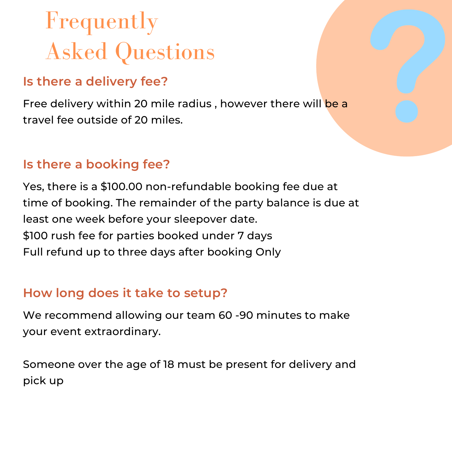## Frequently Asked Questions

### **Is there a delivery fee?**

Free delivery within 20 mile radius, however there will be a travel fee outside of 20 miles.

#### **Is there a booking fee?**

Yes, there is a \$100.00 non-refundable booking fee due at time of booking. The remainder of the party balance is due at least one week before your sleepover date. \$100 rush fee for parties booked under 7 days Full refund up to three days after booking Only

### **How long does it take to setup?**

We recommend allowing our team 60 -90 minutes to make your event extraordinary.

Someone over the age of 18 must be present for delivery and pick up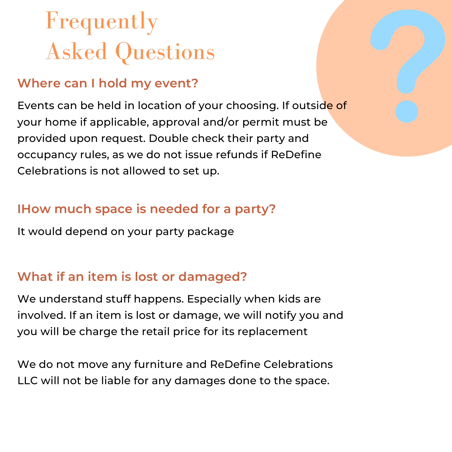# Frequently Asked Questions

#### **Where can I hold my event?**

Events can be held in location of your choosing. If outside of your home if applicable, approval and/or permit must be provided upon request. Double check their party and occupancy rules, as we do not issue refunds if ReDefine Celebrations is not allowed to set up.

#### **IHow much space is needed for a party?**

It would depend on your party package

### **What if an item is lost or damaged?**

We understand stuff happens. Especially when kids are involved. If an item is lost or damage, we will notify you and you will be charge the retail price for its replacement

We do not move any furniture and ReDefine Celebrations LLC will not be liable for any damages done to the space.